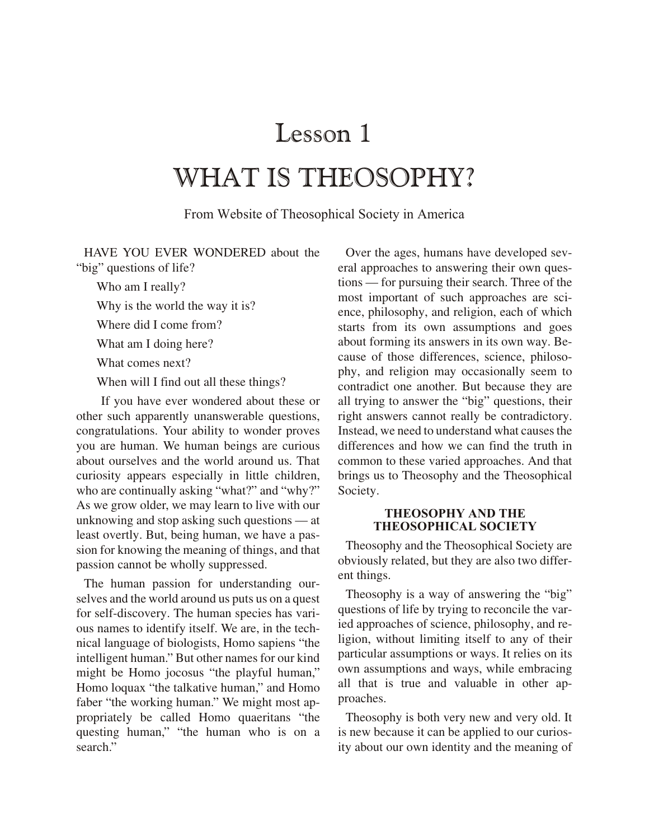# Lesson 1

## WHAT IS THEOSOPHY?

From Website of Theosophical Society in America

HAVE YOU EVER WONDERED about the "big" questions of life?

Who am I really?

Why is the world the way it is?

Where did I come from?

What am I doing here?

What comes next?

When will I find out all these things?

If you have ever wondered about these or other such apparently unanswerable questions, congratulations. Your ability to wonder proves you are human. We human beings are curious about ourselves and the world around us. That curiosity appears especially in little children, who are continually asking "what?" and "why?" As we grow older, we may learn to live with our unknowing and stop asking such questions — at least overtly. But, being human, we have a passion for knowing the meaning of things, and that passion cannot be wholly suppressed.

The human passion for understanding ourselves and the world around us puts us on a quest for self-discovery. The human species has various names to identify itself. We are, in the technical language of biologists, Homo sapiens "the intelligent human." But other names for our kind might be Homo jocosus "the playful human," Homo loquax "the talkative human," and Homo faber "the working human." We might most appropriately be called Homo quaeritans "the questing human," "the human who is on a search."

Over the ages, humans have developed several approaches to answering their own questions — for pursuing their search. Three of the most important of such approaches are science, philosophy, and religion, each of which starts from its own assumptions and goes about forming its answers in its own way. Because of those differences, science, philosophy, and religion may occasionally seem to contradict one another. But because they are all trying to answer the "big" questions, their right answers cannot really be contradictory. Instead, we need to understand what causes the differences and how we can find the truth in common to these varied approaches. And that brings us to Theosophy and the Theosophical Society.

#### **THEOSOPHY AND THE THEOSOPHICAL SOCIETY**

Theosophy and the Theosophical Society are. obviously related, but they are also two different things.

Theosophy is a way of answering the "big" questions of life by trying to reconcile the varied approaches of science, philosophy, and religion, without limiting itself to any of their particular assumptions or ways. It relies on its own assumptions and ways, while embracing all that is true and valuable in other approaches.

Theosophy is both very new and very old. It is new because it can be applied to our curiosity about our own identity and the meaning of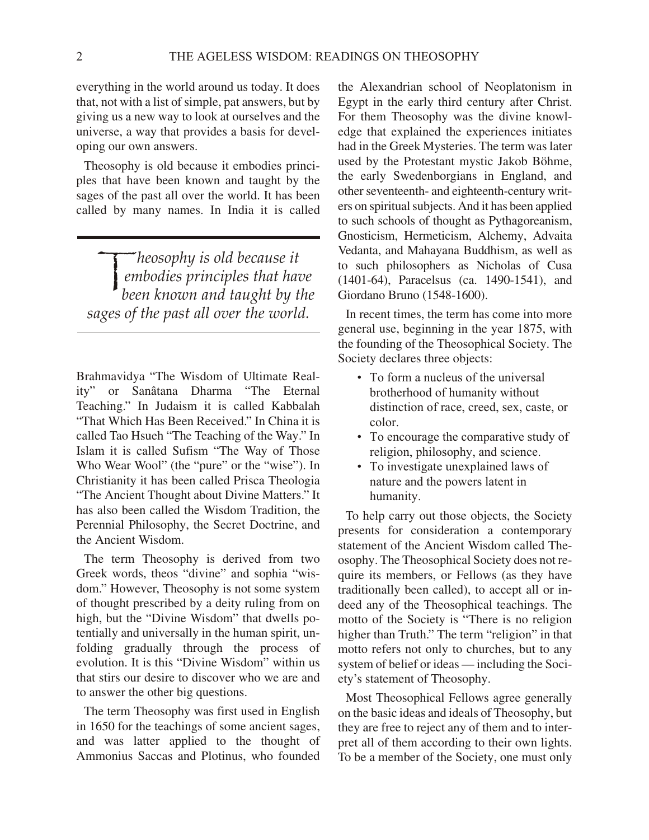every thing in the world around us today. It does that, not with a list of simple, pat answers, but by giving us a new way to look at ourselves and the universe, a way that provides a basis for developing our own answers.

The osophy is old because it embodies principles that have been known and taught by the sages of the past all over the world. It has been called by many names. In India it is called

*heosophy is old because it*<br>embodies principles that has<br>heen known and taught hy t *embodies principles that have been known and taught by the sages of the past all over the world.*

Brahmavidya "The Wisdom of Ultimate Reality" or Sanâtana Dharma "The Eternal Teaching." In Judaism it is called Kabbalah "That Which Has Been Received." In China it is called Tao Hsueh "The Teaching of the Way." In Is lam it is called Sufism "The Way of Those Who Wear Wool" (the "pure" or the "wise"). In Christianity it has been called Prisca Theologia "The Ancient Thought about Divine Matters." It has also been called the Wisdom Tradition, the Perennial Philosophy, the Secret Doctrine, and the Ancient Wisdom.

The term The osophy is derived from two Greek words, theos "divine" and sophia "wisdom." However, Theosophy is not some system of thought prescribed by a deity ruling from on high, but the "Divine Wisdom" that dwells poten tially and universally in the human spirit, unfolding gradually through the process of evolution. It is this "Divine Wisdom" within us that stirs our desire to discover who we are and to answer the other big questions.

The term The osophy was first used in English in 1650 for the teachings of some ancient sages, and was latter applied to the thought of Ammonius Saccas and Plotinus, who founded the Alexandrian school of Neoplatonism in Egypt in the early third century after Christ. For them Theosophy was the divine knowledge that explained the experiences initiates had in the Greek Mysteries. The term was later used by the Protestant mystic Jakob Böhme, the early Swedenborgians in England, and other seventeenth- and eighteenth-century writers on spiritual subjects. And it has been applied to such schools of thought as Pythagoreanism, Gnosticism, Hermeticism, Alchemy, Advaita Vedanta, and Mahayana Buddhism, as well as to such philosophers as Nicholas of Cusa (1401-64), Paracelsus (ca. 1490-1541), and Giordano Bruno (1548-1600).

In recent times, the term has come into more general use, beginning in the year 1875, with the founding of the Theosophical Society. The Society declares three objects:

- To form a nucleus of the universal brotherhood of humanity without distinction of race, creed, sex, caste, or color.
- To encourage the comparative study of religion, philosophy, and science.
- To investigate unexplained laws of nature and the powers latent in humanity.

To help carry out those objects, the Society presents for consideration a contemporary statement of the Ancient Wisdom called Theosophy. The Theosophical Society does not require its members, or Fellows (as they have traditionally been called), to accept all or indeed any of the Theosophical teachings. The motto of the Society is "There is no religion higher than Truth." The term "religion" in that motto refers not only to churches, but to any system of belief or ideas — including the Society's statement of Theosophy.

Most Theosophical Fellows agree generally on the basic ideas and ideals of Theosophy, but they are free to reject any of them and to interpret all of them according to their own lights. To be a member of the Society, one must only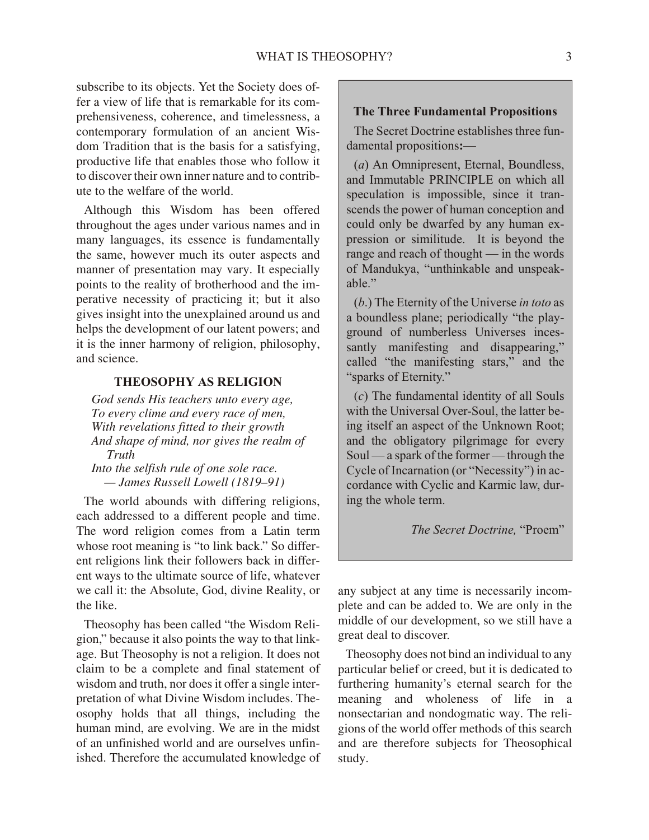subscribe to its objects. Yet the Society does offer a view of life that is remarkable for its comprehensiveness, coherence, and timelessness, a contemporary formulation of an ancient Wisdom Tradition that is the basis for a satisfying, productive life that enables those who follow it to discover their own inner nature and to contribute to the welfare of the world.

Although this Wisdom has been offered throughout the ages under various names and in many languages, its essence is fundamentally the same, however much its outer aspects and manner of presentation may vary. It especially points to the reality of brotherhood and the imperative necessity of practicing it; but it also gives insight into the unexplained around us and helps the development of our latent powers; and it is the inner harmony of religion, philosophy, and science.

#### **THEOSOPHY AS RELIGION**

*God sends His teachers unto every age, To every clime and every race of men, With revelations fitted to their growth And shape of mind, nor gives the realm of Truth*

*Into the selfish rule of one sole race. — James Russell Lowell (1819–91)*

The world abounds with differing religions, each addressed to a different people and time. The word religion comes from a Latin term whose root meaning is "to link back." So different religions link their followers back in different ways to the ultimate source of life, whatever we call it: the Absolute, God, divine Reality, or the like.

The osophy has been called "the Wisdom Religion," because it also points the way to that linkage. But The osophy is not a religion. It does not claim to be a complete and final statement of wisdom and truth, nor does it offer a single interpretation of what Divine Wisdom includes. Theosophy holds that all things, including the human mind, are evolving. We are in the midst of an unfinished world and are ourselves unfinished. Therefore the accumulated knowledge of

#### **The Three Fundamental Propositions**

The Secret Doctrine establishes three fundamental propositions:—

(*a*) An Omnipresent, Eternal, Boundless, and Immutable PRINCIPLE on which all speculation is impossible, since it transcends the power of human conception and could only be dwarfed by any human expression or similitude. It is beyond the range and reach of thought — in the words of Mandukya, "unthinkable and unspeakable."

(*b*.) The Eternity of the Universe *in toto* as a boundless plane; periodically "the playground of numberless Universes incessantly manifesting and disappearing," called "the manifesting stars," and the "sparks of Eternity."

 $(c)$  The fundamental identity of all Souls with the Universal Over-Soul, the latter being itself an aspect of the Unknown Root; and the obligatory pilgrimage for every Soul — a spark of the former — through the Cycle of Incarnation (or "Necessity") in accordance with Cyclic and Karmic law, during the whole term.

*The Secret Doctrine,* "Proem"

any subject at any time is necessarily incomplete and can be added to. We are only in the middle of our development, so we still have a great deal to discover.

The osophy does not bind an individual to any particular belief or creed, but it is dedicated to furthering humanity's eternal search for the meaning and wholeness of life in a nonsectarian and nondogmatic way. The religions of the world offer methods of this search and are therefore subjects for Theosophical study.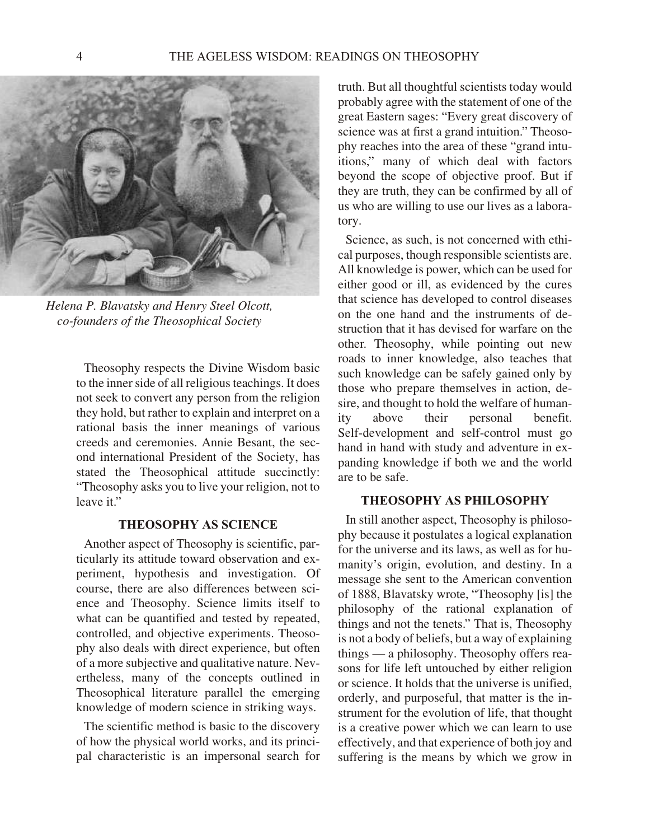

*Helena P. Blavatsky and Henry Steel Olcott, co-founders of the Theosophical Society*

The osophy respects the Divine Wisdom basic to the inner side of all religious teachings. It does not seek to convert any person from the religion they hold, but rather to explain and interpret on a rational basis the inner meanings of various creeds and ceremonies. Annie Besant, the second international President of the Society, has stated the Theosophical attitude succinctly: "The osophy asks you to live your religion, not to leave it."

#### **THEOSOPHY AS SCIENCE**

Another aspect of Theosophy is scientific, particularly its attitude toward observation and experiment, hypothesis and investigation. Of course, there are also differences between science and Theosophy. Science limits itself to what can be quantified and tested by repeated, controlled, and objective experiments. The osophy also deals with direct experience, but often of a more subjective and qualitative nature. Nevertheless, many of the concepts outlined in Theosophical literature parallel the emerging knowledge of modern science in striking ways.

The scientific method is basic to the discovery of how the physical world works, and its principal characteristic is an impersonal search for

truth. But all thoughtful scientists today would probably agree with the statement of one of the great Eastern sages: "Every great discovery of science was at first a grand intuition." The osophy reaches into the area of these "grand intuitions," many of which deal with factors beyond the scope of objective proof. But if they are truth, they can be confirmed by all of us who are willing to use our lives as a laboratory.

Science, as such, is not concerned with ethical purposes, though responsible scientists are. All knowledge is power, which can be used for either good or ill, as evidenced by the cures that science has developed to control diseases on the one hand and the instruments of destruction that it has devised for warfare on the other. The osophy, while pointing out new roads to inner knowledge, also teaches that such knowledge can be safely gained only by those who prepare themselves in action, desire, and thought to hold the welfare of humanity above their personal benefit. Self-development and self-control must go hand in hand with study and adventure in expanding knowledge if both we and the world are to be safe.

#### **THEOSOPHY AS PHILOSOPHY**

In still another aspect, Theosophy is philosophy because it postulates a logical explanation for the universe and its laws, as well as for humanity's origin, evolution, and destiny. In a message she sent to the American convention of 1888, Blavatsky wrote, "Theosophy [is] the philosophy of the rational explanation of things and not the tenets." That is, The osophy is not a body of beliefs, but a way of explaining  $t$ hings — a philosophy. The osophy offers reasons for life left untouched by either religion or science. It holds that the universe is unified, orderly, and purposeful, that matter is the instrument for the evolution of life, that thought is a creative power which we can learn to use effectively, and that experience of both joy and suffering is the means by which we grow in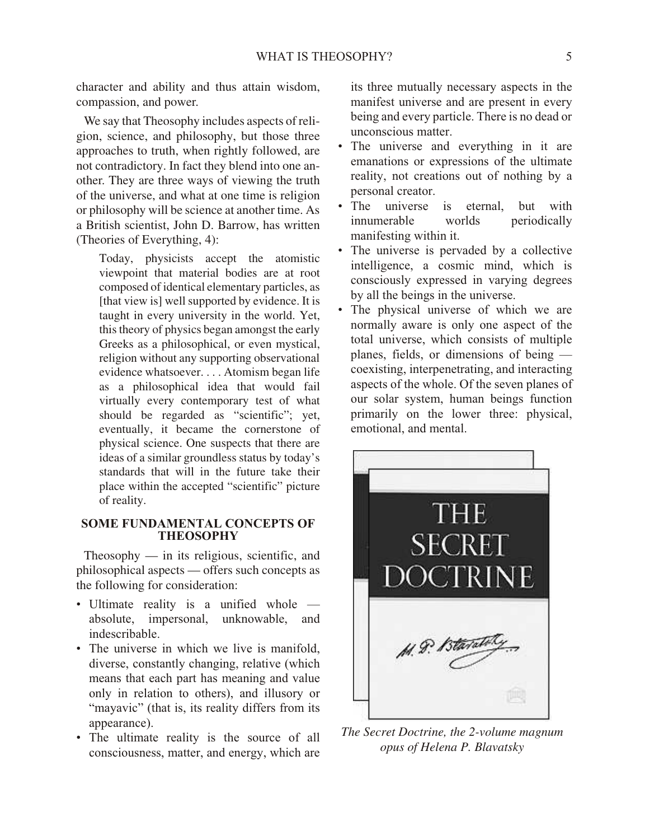character and ability and thus attain wisdom, compassion, and power.

We say that The osophy includes as pects of religion, science, and philosophy, but those three approaches to truth, when rightly followed, are not contradictory. In fact they blend into one another. They are three ways of viewing the truth of the universe, and what at one time is religion or philosophy will be science at another time. As a British scientist, John D. Barrow, has written (Theories of Everything,  $4$ ):

Today, physicists accept the atomistic viewpoint that material bodies are at root composed of identical elementary particles, as [that view is] well supported by evidence. It is taught in every university in the world. Yet, this theory of physics began amongst the early Greeks as a philosophical, or even mystical, religion without any supporting observational evidence whatsoever. . . . Atomism began life as a philosophical idea that would fail virtually every contemporary test of what should be regarded as "scientific"; yet, eventually, it became the cornerstone of physical science. One suspects that there are ideas of a similar groundless status by today's standards that will in the future take their place within the accepted "scientific" picture of reality.

#### **SOME FUNDAMENTAL CONCEPTS OF THEOSOPHY**

The osophy  $-$  in its religious, scientific, and philosophical aspects — offers such concepts as the following for consideration:

- Ultimate reality is a unified whole absolute, impersonal, unknowable, and indescribable.
- The universe in which we live is manifold, diverse, constantly changing, relative (which means that each part has meaning and value only in relation to others), and illusory or "mayavic" (that is, its reality differs from its appearance).
- The ultimate reality is the source of all consciousness, matter, and energy, which are

its three mutually necessary aspects in the manifest universe and are present in every being and every particle. There is no dead or un conscious matter.

- The universe and everything in it are emanations or expressions of the ultimate reality, not creations out of nothing by a personal creator.
- The universe is eternal, but with innumerable worlds periodically manifesting within it.
- The universe is pervaded by a collective intelligence, a cosmic mind, which is consciously expressed in varying degrees by all the beings in the universe.
- The physical universe of which we are normally aware is only one aspect of the total universe, which consists of multiple planes, fields, or dimensions of being co existing, interpenetrating, and interacting aspects of the whole. Of the seven planes of our solar system, human beings function primarily on the lower three: physical, emotional, and mental.



*The Secret Doctrine, the 2-volume magnum opus of Helena P. Blavatsky*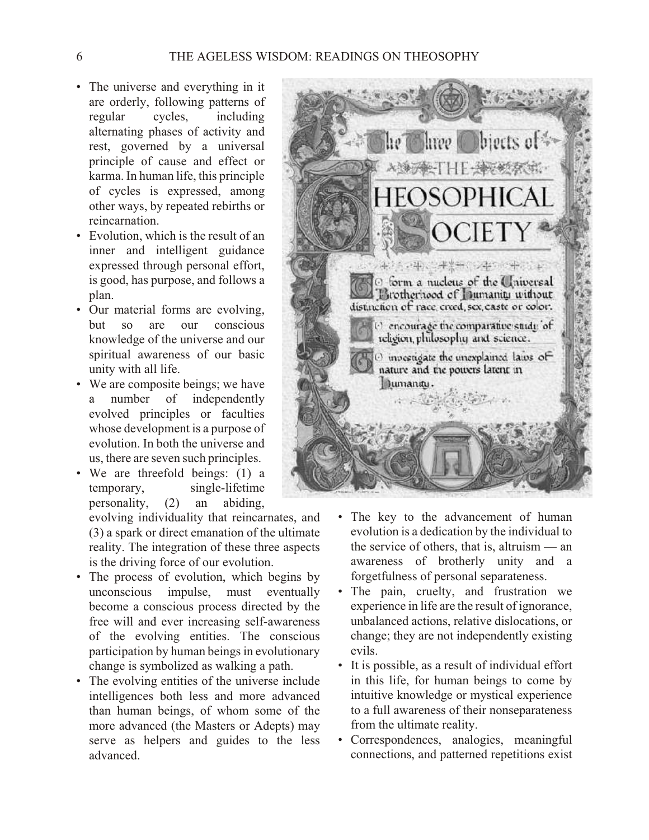- The universe and everything in it are orderly, following patterns of regular cycles, including alternating phases of activity and rest, governed by a universal principle of cause and effect or karma. In human life, this principle of cycles is expressed, among other ways, by repeated rebirths or reincarnation.
- Evolution, which is the result of an inner and intelligent guidance expressed through personal effort, is good, has purpose, and follows a plan.
- Our material forms are evolving, but so are our conscious knowledge of the universe and our spiritual awareness of our basic unity with all life.
- We are composite beings; we have a number of independently evolved principles or faculties whose development is a purpose of evolution. In both the universe and us, there are seven such principles.
- We are threefold beings: (1) a temporary, single-lifetime personality,  $(2)$  an abiding,

evolving individuality that reincarnates, and  $(3)$  a spark or direct emanation of the ultimate reality. The integration of these three aspects is the driving force of our evolution.

- The process of evolution, which begins by unconscious impulse, must eventually become a conscious process directed by the free will and ever increasing self-awareness of the evolving entities. The conscious participation by human beings in evolutionary change is symbolized as walking a path.
- The evolving entities of the universe include intelligences both less and more advanced than human beings, of whom some of the more advanced (the Masters or Adepts) may serve as helpers and guides to the less advanced.



- The key to the advancement of human evolution is a dedication by the individual to the service of others, that is, altruism  $-$  an awareness of brotherly unity and a forgetfulness of personal separateness.
- The pain, cruelty, and frustration we experience in life are the result of ignorance, unbalanced actions, relative dislocations, or change; they are not independently existing evils.
- It is possible, as a result of individual effort in this life, for human beings to come by intuitive knowledge or mystical experience to a full awareness of their nonseparateness from the ultimate reality.
- Correspondences, analogies, meaningful connections, and patterned repetitions exist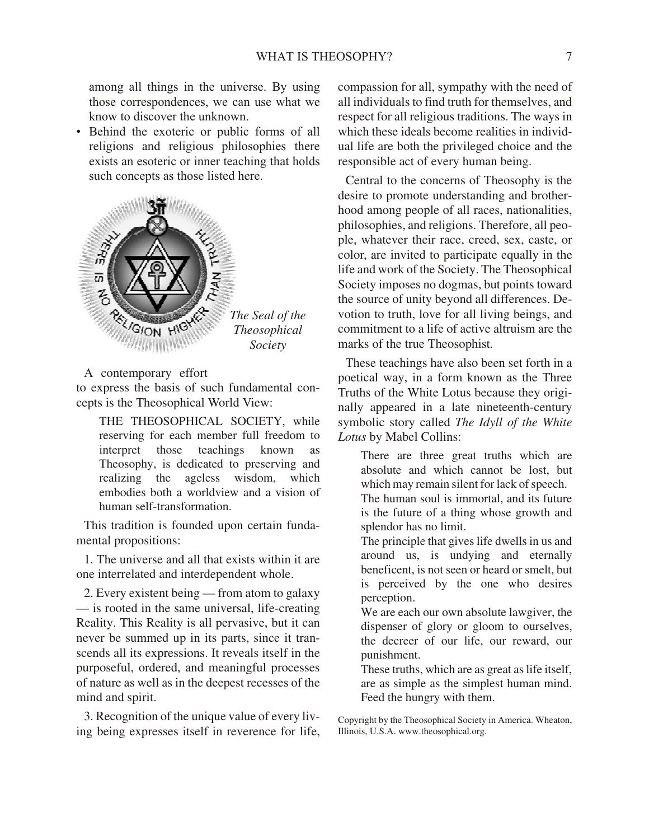among all things in the universe. By using those correspondences, we can use what we know to discover the unknown.

• Behind the exoteric or public forms of all religions and religious philosophies there exists an esoteric or inner teaching that holds such concepts as those listed here.



A contemporary effort

to express the basis of such fundamental concepts is the Theosophical World View:

THE THEOSOPHICAL SOCIETY, while reserving for each member full freedom to interpret those teachings known as Theosophy, is dedicated to preserving and realizing the ageless wisdom, which embodies both a worldview and a vision of human self-transformation.

This tradition is founded upon certain fundamental propositions:

1. The universe and all that exists within it are one interrelated and interdependent whole.

2. Every existent being — from atom to galaxy  $-$  is rooted in the same universal, life-creating Reality. This Reality is all pervasive, but it can never be summed up in its parts, since it transcends all its expressions. It reveals itself in the pur poseful, ordered, and meaningful processes of nature as well as in the deepest recesses of the mind and spirit.

3. Recognition of the unique value of every living being expresses itself in reverence for life,

compassion for all, sympathy with the need of all individuals to find truth for themselves, and respect for all religious traditions. The ways in which these ideals become realities in individual life are both the privileged choice and the responsible act of every human being.

Central to the concerns of Theosophy is the desire to promote understanding and brotherhood among people of all races, nationalities, philosophies, and religions. Therefore, all people, whatever their race, creed, sex, caste, or color, are invited to participate equally in the life and work of the Society. The Theosophical Society imposes no dogmas, but points toward the source of unity beyond all differences. Devotion to truth, love for all living beings, and commitment to a life of active altruism are the marks of the true Theosophist.

These teachings have also been set forth in a poetical way, in a form known as the Three Truths of the White Lotus because they originally appeared in a late nine teenth-century sym bolic story called *The Idyll of the White* Lotus by Mabel Collins:

There are three great truths which are absolute and which cannot be lost, but which may remain silent for lack of speech. The human soul is immortal, and its future is the future of a thing whose growth and splendor has no limit.

The principle that gives life dwells in us and around us, is undying and eternally beneficent, is not seen or heard or smelt, but is perceived by the one who desires perception.

We are each our own absolute lawgiver, the dispenser of glory or gloom to ourselves, the decreer of our life, our reward, our punishment.

These truths, which are as great as life itself, are as simple as the simplest human mind. Feed the hungry with them.

Copyright by the Theosophical Society in America. Wheaton, Illinois, U.S.A. www.theosophical.org.